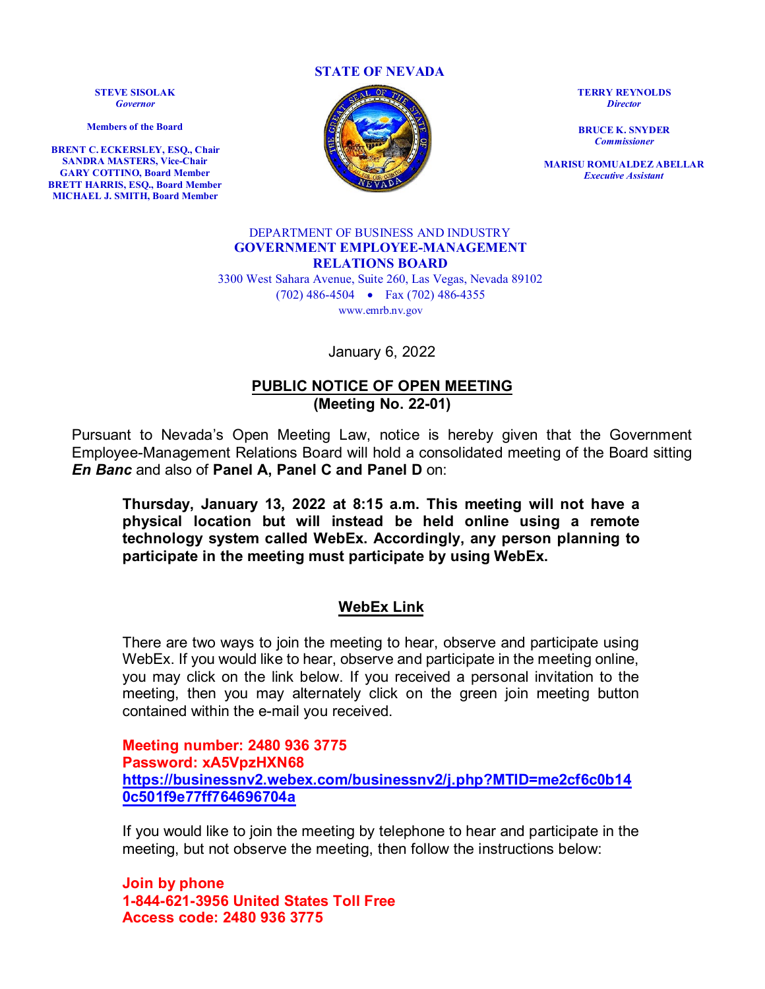**STATE OF NEVADA**

**STEVE SISOLAK** *Governor*

**Members of the Board**

**BRENT C. ECKERSLEY, ESQ., Chair SANDRA MASTERS, Vice-Chair GARY COTTINO, Board Member BRETT HARRIS, ESQ., Board Member MICHAEL J. SMITH, Board Member**



**TERRY REYNOLDS** *Director*

**BRUCE K. SNYDER** *Commissioner*

**MARISU ROMUALDEZ ABELLAR** *Executive Assistant*

### DEPARTMENT OF BUSINESS AND INDUSTRY **GOVERNMENT EMPLOYEE-MANAGEMENT RELATIONS BOARD**

3300 West Sahara Avenue, Suite 260, Las Vegas, Nevada 89102 (702) 486-4504 • Fax (702) 486-4355 www.emrb.nv.gov

January 6, 2022

### **PUBLIC NOTICE OF OPEN MEETING (Meeting No. 22-01)**

Pursuant to Nevada's Open Meeting Law, notice is hereby given that the Government Employee-Management Relations Board will hold a consolidated meeting of the Board sitting *En Banc* and also of **Panel A, Panel C and Panel D** on:

**Thursday, January 13, 2022 at 8:15 a.m. This meeting will not have a physical location but will instead be held online using a remote technology system called WebEx. Accordingly, any person planning to participate in the meeting must participate by using WebEx.** 

### **WebEx Link**

There are two ways to join the meeting to hear, observe and participate using WebEx. If you would like to hear, observe and participate in the meeting online, you may click on the link below. If you received a personal invitation to the meeting, then you may alternately click on the green join meeting button contained within the e-mail you received.

**Meeting number: 2480 936 3775 Password: xA5VpzHXN68 [https://businessnv2.webex.com/businessnv2/j.php?MTID=me2cf6c0b14](https://businessnv2.webex.com/businessnv2/j.php?MTID=me2cf6c0b140c501f9e77ff764696704a) [0c501f9e77ff764696704a](https://businessnv2.webex.com/businessnv2/j.php?MTID=me2cf6c0b140c501f9e77ff764696704a)**

If you would like to join the meeting by telephone to hear and participate in the meeting, but not observe the meeting, then follow the instructions below:

**Join by phone 1-844-621-3956 United States Toll Free Access code: 2480 936 3775**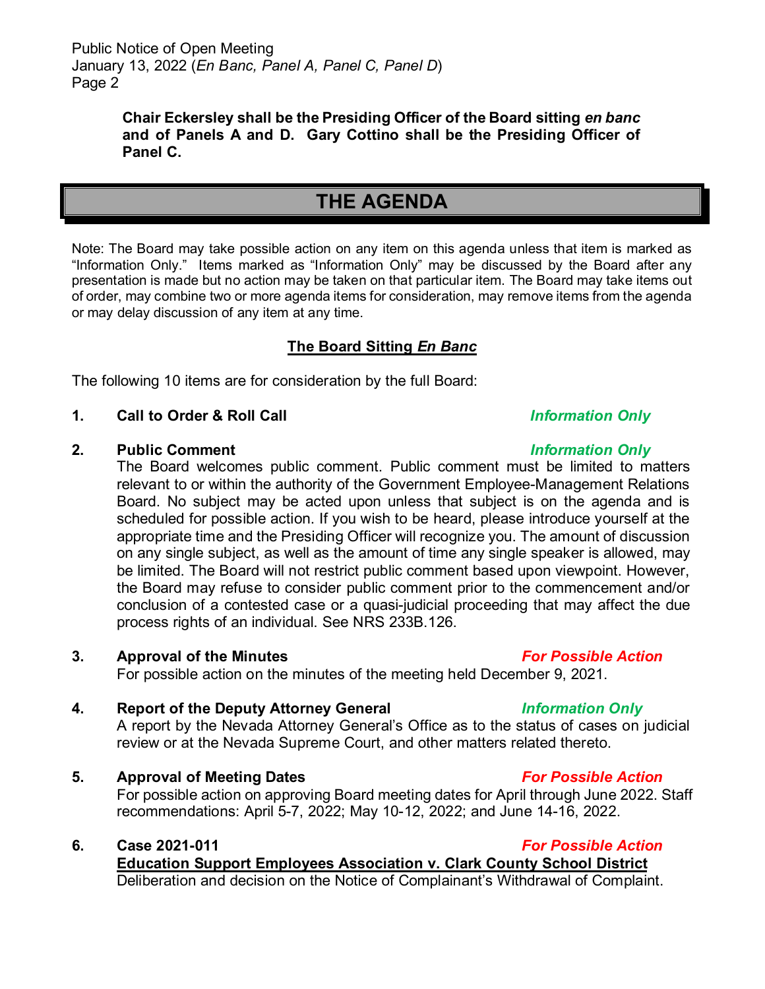Public Notice of Open Meeting January 13, 2022 (*En Banc, Panel A, Panel C, Panel D*) Page 2

> **Chair Eckersley shall be the Presiding Officer of the Board sitting** *en banc* **and of Panels A and D. Gary Cottino shall be the Presiding Officer of Panel C.**

# **THE AGENDA**

Note: The Board may take possible action on any item on this agenda unless that item is marked as "Information Only." Items marked as "Information Only" may be discussed by the Board after any presentation is made but no action may be taken on that particular item. The Board may take items out of order, may combine two or more agenda items for consideration, may remove items from the agenda or may delay discussion of any item at any time.

## **The Board Sitting** *En Banc*

The following 10 items are for consideration by the full Board:

### **1. Call to Order & Roll Call** *Information Only*

### **2. Public Comment** *Information Only*

The Board welcomes public comment. Public comment must be limited to matters relevant to or within the authority of the Government Employee-Management Relations Board. No subject may be acted upon unless that subject is on the agenda and is scheduled for possible action. If you wish to be heard, please introduce yourself at the appropriate time and the Presiding Officer will recognize you. The amount of discussion on any single subject, as well as the amount of time any single speaker is allowed, may be limited. The Board will not restrict public comment based upon viewpoint. However, the Board may refuse to consider public comment prior to the commencement and/or conclusion of a contested case or a quasi-judicial proceeding that may affect the due process rights of an individual. See NRS 233B.126.

### **3. Approval of the Minutes** *For Possible Action*

For possible action on the minutes of the meeting held December 9, 2021.

## **4. Report of the Deputy Attorney General** *Information Only*

A report by the Nevada Attorney General's Office as to the status of cases on judicial review or at the Nevada Supreme Court, and other matters related thereto.

**5. Approval of Meeting Dates** *For Possible Action*

For possible action on approving Board meeting dates for April through June 2022. Staff recommendations: April 5-7, 2022; May 10-12, 2022; and June 14-16, 2022.

**6. Case 2021-011** *For Possible Action* **Education Support Employees Association v. Clark County School District** Deliberation and decision on the Notice of Complainant's Withdrawal of Complaint.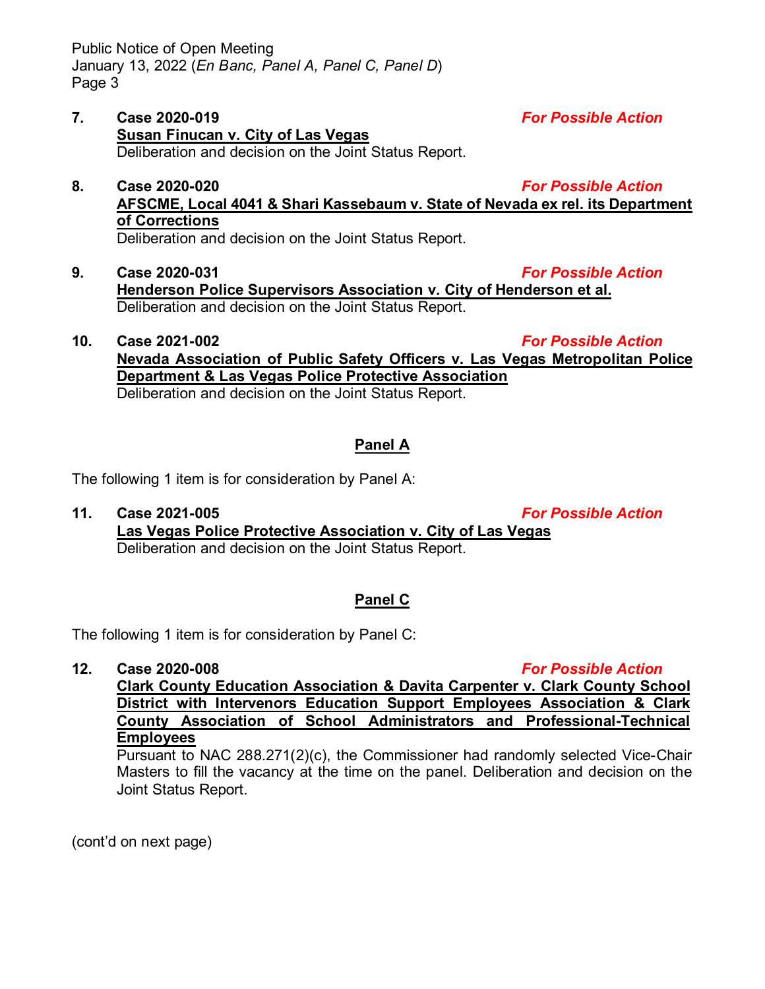Public Notice of Open Meeting January 13, 2022 (*En Banc, Panel A, Panel C, Panel D*) Page 3

- **7. Case 2020-019** *For Possible Action* **Susan Finucan v. City of Las Vegas** Deliberation and decision on the Joint Status Report.
- **8. Case 2020-020** *For Possible Action* **AFSCME, Local 4041 & Shari Kassebaum v. State of Nevada ex rel. its Department of Corrections**
- **9. Case 2020-031** *For Possible Action* **Henderson Police Supervisors Association v. City of Henderson et al.** Deliberation and decision on the Joint Status Report.

**10. Case 2021-002** *For Possible Action* **Nevada Association of Public Safety Officers v. Las Vegas Metropolitan Police Department & Las Vegas Police Protective Association** Deliberation and decision on the Joint Status Report.

## **Panel A**

The following 1 item is for consideration by Panel A:

**11. Case 2021-005** *For Possible Action* **Las Vegas Police Protective Association v. City of Las Vegas** Deliberation and decision on the Joint Status Report.

## **Panel C**

The following 1 item is for consideration by Panel C:

**12. Case 2020-008** *For Possible Action* **Clark County Education Association & Davita Carpenter v. Clark County School District with Intervenors Education Support Employees Association & Clark County Association of School Administrators and Professional-Technical Employees**

Pursuant to NAC 288.271(2)(c), the Commissioner had randomly selected Vice-Chair Masters to fill the vacancy at the time on the panel. Deliberation and decision on the Joint Status Report.

(cont'd on next page)

Deliberation and decision on the Joint Status Report.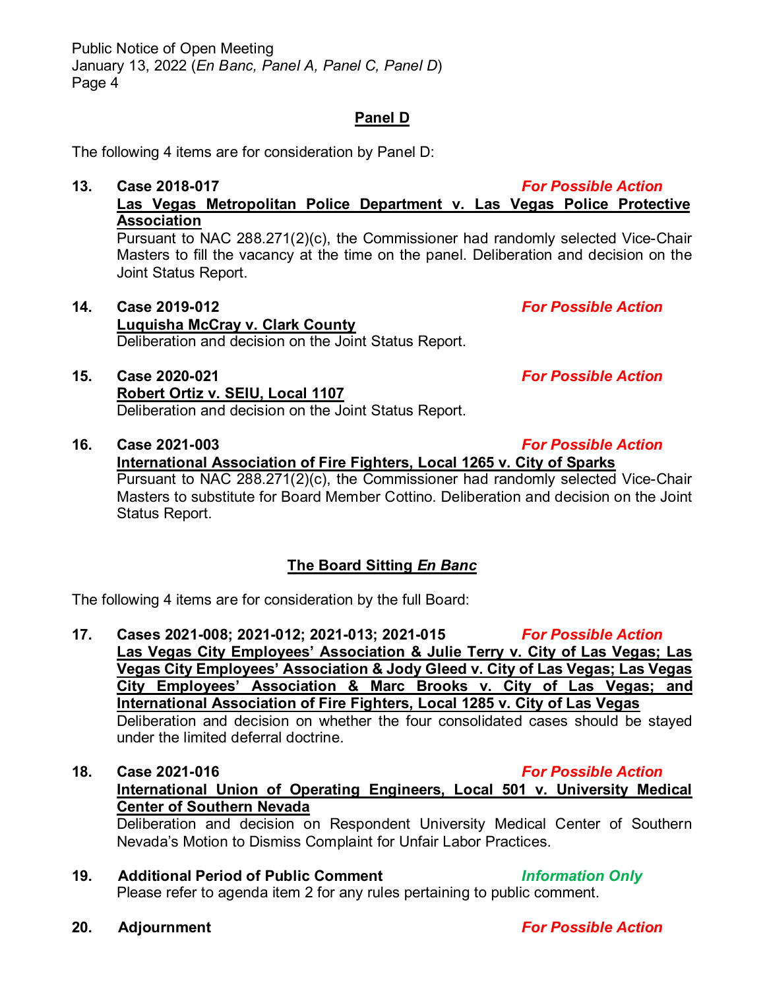## **Panel D**

The following 4 items are for consideration by Panel D:

**13. Case 2018-017** *For Possible Action* **Las Vegas Metropolitan Police Department v. Las Vegas Police Protective Association**

Pursuant to NAC 288.271(2)(c), the Commissioner had randomly selected Vice-Chair Masters to fill the vacancy at the time on the panel. Deliberation and decision on the Joint Status Report.

- **14. Case 2019-012** *For Possible Action* **Luquisha McCray v. Clark County** Deliberation and decision on the Joint Status Report.
- **15. Case 2020-021** *For Possible Action* **Robert Ortiz v. SEIU, Local 1107** Deliberation and decision on the Joint Status Report.
- **16. Case 2021-003** *For Possible Action* **International Association of Fire Fighters, Local 1265 v. City of Sparks** Pursuant to NAC 288.271(2)(c), the Commissioner had randomly selected Vice-Chair Masters to substitute for Board Member Cottino. Deliberation and decision on the Joint Status Report.

## **The Board Sitting** *En Banc*

The following 4 items are for consideration by the full Board:

**17. Cases 2021-008; 2021-012; 2021-013; 2021-015** *For Possible Action* **Las Vegas City Employees' Association & Julie Terry v. City of Las Vegas; Las Vegas City Employees' Association & Jody Gleed v. City of Las Vegas; Las Vegas City Employees' Association & Marc Brooks v. City of Las Vegas; and International Association of Fire Fighters, Local 1285 v. City of Las Vegas** Deliberation and decision on whether the four consolidated cases should be stayed under the limited deferral doctrine.

### **18. Case 2021-016** *For Possible Action* **International Union of Operating Engineers, Local 501 v. University Medical Center of Southern Nevada**

Deliberation and decision on Respondent University Medical Center of Southern Nevada's Motion to Dismiss Complaint for Unfair Labor Practices.

- **19. Additional Period of Public Comment** *Information Only* Please refer to agenda item 2 for any rules pertaining to public comment.
- **20. Adjournment** *For Possible Action*